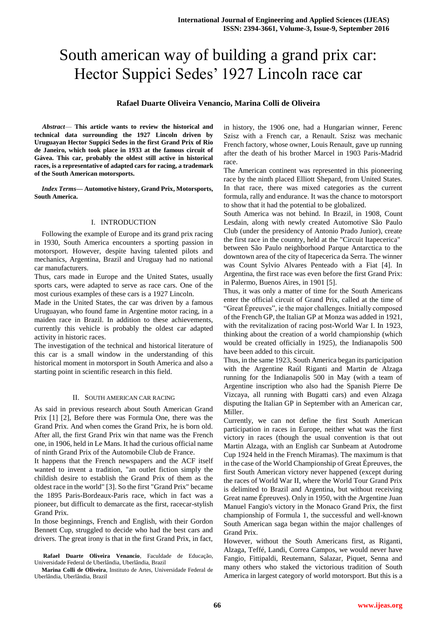# South american way of building a grand prix car: Hector Suppici Sedes' 1927 Lincoln race car

# **Rafael Duarte Oliveira Venancio, Marina Colli de Oliveira**

*Abstract*— **This article wants to review the historical and technical data surrounding the 1927 Lincoln driven by Uruguayan Hector Suppici Sedes in the first Grand Prix of Rio de Janeiro, which took place in 1933 at the famous circuit of Gávea. This car, probably the oldest still active in historical races, is a representative of adapted cars for racing, a trademark of the South American motorsports.** 

*Index Terms***— Automotive history, Grand Prix, Motorsports, South America.**

# I. INTRODUCTION

 Following the example of Europe and its grand prix racing in 1930, South America encounters a sporting passion in motorsport. However, despite having talented pilots and mechanics, Argentina, Brazil and Uruguay had no national car manufacturers.

Thus, cars made in Europe and the United States, usually sports cars, were adapted to serve as race cars. One of the most curious examples of these cars is a 1927 Lincoln.

Made in the United States, the car was driven by a famous Uruguayan, who found fame in Argentine motor racing, in a maiden race in Brazil. In addition to these achievements, currently this vehicle is probably the oldest car adapted activity in historic races.

The investigation of the technical and historical literature of this car is a small window in the understanding of this historical moment in motorsport in South America and also a starting point in scientific research in this field.

## II. SOUTH AMERICAN CAR RACING

As said in previous research about South American Grand Prix [1] [2], Before there was Formula One, there was the Grand Prix. And when comes the Grand Prix, he is born old. After all, the first Grand Prix win that name was the French one, in 1906, held in Le Mans. It had the curious official name of ninth Grand Prix of the Automobile Club de France.

It happens that the French newspapers and the ACF itself wanted to invent a tradition, "an outlet fiction simply the childish desire to establish the Grand Prix of them as the oldest race in the world" [3]. So the first "Grand Prix" became the 1895 Paris-Bordeaux-Paris race, which in fact was a pioneer, but difficult to demarcate as the first, racecar-stylish Grand Prix.

In those beginnings, French and English, with their Gordon Bennett Cup, struggled to decide who had the best cars and drivers. The great irony is that in the first Grand Prix, in fact,

**Rafael Duarte Oliveira Venancio**, Faculdade de Educação, Universidade Federal de Uberlândia, Uberlândia, Brazil

**Marina Colli de Oliveira**, Instituto de Artes, Universidade Federal de Uberlândia, Uberlândia, Brazil

in history, the 1906 one, had a Hungarian winner, Ferenc Szisz with a French car, a Renault. Szisz was mechanic French factory, whose owner, Louis Renault, gave up running after the death of his brother Marcel in 1903 Paris-Madrid race.

The American continent was represented in this pioneering race by the ninth placed Elliott Shepard, from United States. In that race, there was mixed categories as the current formula, rally and endurance. It was the chance to motorsport to show that it had the potential to be globalized.

South America was not behind. In Brazil, in 1908, Count Lesdain, along with newly created Automotive São Paulo Club (under the presidency of Antonio Prado Junior), create the first race in the country, held at the "Circuit Itapecerica" between São Paulo neighborhood Parque Antarctica to the downtown area of the city of Itapecerica da Serra. The winner was Count Sylvio Alvares Penteado with a Fiat [4]. In Argentina, the first race was even before the first Grand Prix: in Palermo, Buenos Aires, in 1901 [5].

Thus, it was only a matter of time for the South Americans enter the official circuit of Grand Prix, called at the time of "Great Épreuves", ie the major challenges. Initially composed of the French GP, the Italian GP at Monza was added in 1921, with the revitalization of racing post-World War I. In 1923, thinking about the creation of a world championship (which would be created officially in 1925), the Indianapolis 500 have been added to this circuit.

Thus, in the same 1923, South America began its participation with the Argentine Raúl Riganti and Martin de Alzaga running for the Indianapolis 500 in May (with a team of Argentine inscription who also had the Spanish Pierre De Vizcaya, all running with Bugatti cars) and even Alzaga disputing the Italian GP in September with an American car, Miller.

Currently, we can not define the first South American participation in races in Europe, neither what was the first victory in races (though the usual convention is that out Martin Alzaga, with an English car Sunbeam at Autodrome Cup 1924 held in the French Miramas). The maximum is that in the case of the World Championship of Great Épreuves, the first South American victory never happened (except during the races of World War II, where the World Tour Grand Prix is delimited to Brazil and Argentina, but without receiving Great name Épreuves). Only in 1950, with the Argentine Juan Manuel Fangio's victory in the Monaco Grand Prix, the first championship of Formula 1, the successful and well-known South American saga began within the major challenges of Grand Prix.

However, without the South Americans first, as Riganti, Alzaga, Teffé, Landi, Correa Campos, we would never have Fangio, Fittipaldi, Reutemann, Salazar, Piquet, Senna and many others who staked the victorious tradition of South America in largest category of world motorsport. But this is a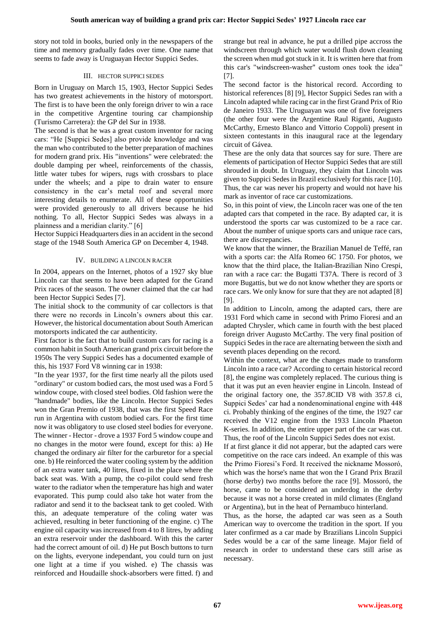story not told in books, buried only in the newspapers of the time and memory gradually fades over time. One name that seems to fade away is Uruguayan Hector Suppici Sedes.

# III. HECTOR SUPPICI SEDES

Born in Uruguay on March 15, 1903, Hector Suppici Sedes has two greatest achievements in the history of motorsport. The first is to have been the only foreign driver to win a race in the competitive Argentine touring car championship (Turismo Carretera): the GP del Sur in 1938.

The second is that he was a great custom inventor for racing cars: "He [Suppici Sedes] also provide knowledge and was the man who contributed to the better preparation of machines for modern grand prix. His "inventions" were celebrated: the double damping per wheel, reinforcements of the chassis, little water tubes for wipers, rugs with crossbars to place under the wheels; and a pipe to drain water to ensure consistency in the car's metal roof and several more interesting details to enumerate. All of these opportunities were provided generously to all drivers because he hid nothing. To all, Hector Suppici Sedes was always in a plainness and a meridian clarity." [6]

Hector Suppici Headquarters dies in an accident in the second stage of the 1948 South America GP on December 4, 1948.

# IV. BUILDING A LINCOLN RACER

In 2004, appears on the Internet, photos of a 1927 sky blue Lincoln car that seems to have been adapted for the Grand Prix races of the season. The owner claimed that the car had been Hector Suppici Sedes [7].

The initial shock to the community of car collectors is that there were no records in Lincoln's owners about this car. However, the historical documentation about South American motorsports indicated the car authenticity.

First factor is the fact that to build custom cars for racing is a common habit in South American grand prix circuit before the 1950s The very Suppici Sedes has a documented example of this, his 1937 Ford V8 winning car in 1938:

"In the year 1937, for the first time nearly all the pilots used "ordinary" or custom bodied cars, the most used was a Ford 5 window coupe, with closed steel bodies. Old fashion were the "handmade" bodies, like the Lincoln. Hector Suppici Sedes won the Gran Premio of 1938, that was the first Speed Race run in Argentina with custom bodied cars. For the first time now it was obligatory to use closed steel bodies for everyone. The winner - Hector - drove a 1937 Ford 5 window coupe and no changes in the motor were found, except for this: a) He changed the ordinary air filter for the carburetor for a special one. b) He reinforced the water cooling system by the addition of an extra water tank, 40 litres, fixed in the place where the back seat was. With a pump, the co-pilot could send fresh water to the radiator when the temperature has high and water evaporated. This pump could also take hot water from the radiator and send it to the backseat tank to get cooled. With this, an adequate temperature of the coling water was achieved, resulting in beter functioning of the engine. c) The engine oil capacity was increased from 4 to 8 litres, by adding an extra reservoir under the dashboard. With this the carter had the correct amount of oil. d) He put Bosch buttons to turn on the lights, everyone independant, you could turn on just one light at a time if you wished. e) The chassis was reinforced and Houdaille shock-absorbers were fitted. f) and

strange but real in advance, he put a drilled pipe accross the windscreen through which water would flush down cleaning the screen when mud got stuck in it. It is written here that from this car's "windscreen-washer" custom ones took the idea" [7].

The second factor is the historical record. According to historical references [8] [9], Hector Suppici Sedes ran with a Lincoln adapted while racing car in the first Grand Prix of Rio de Janeiro 1933. The Uruguayan was one of five foreigners (the other four were the Argentine Raul Riganti, Augusto McCarthy, Ernesto Blanco and Vittorio Coppoli) present in sixteen contestants in this inaugural race at the legendary circuit of Gávea.

These are the only data that sources say for sure. There are elements of participation of Hector Suppici Sedes that are still shrouded in doubt. In Uruguay, they claim that Lincoln was given to Suppici Sedes in Brazil exclusively for this race [10]. Thus, the car was never his property and would not have his mark as inventor of race car customizations.

So, in this point of view, the Lincoln racer was one of the ten adapted cars that competed in the race. By adapted car, it is understood the sports car was customized to be a race car. About the number of unique sports cars and unique race cars, there are discrepancies.

We know that the winner, the Brazilian Manuel de Teffé, ran with a sports car: the Alfa Romeo 6C 1750. For photos, we know that the third place, the Italian-Brazilian Nino Crespi, ran with a race car: the Bugatti T37A. There is record of 3 more Bugattis, but we do not know whether they are sports or race cars. We only know for sure that they are not adapted [8] [9].

In addition to Lincoln, among the adapted cars, there are 1931 Ford which came in second with Primo Fioresi and an adapted Chrysler, which came in fourth with the best placed foreign driver Augusto McCarthy. The very final position of Suppici Sedes in the race are alternating between the sixth and seventh places depending on the record.

Within the context, what are the changes made to transform Lincoln into a race car? According to certain historical record [8], the engine was completely replaced. The curious thing is that it was put an even heavier engine in Lincoln. Instead of the original factory one, the 357.8CID V8 with 357.8 ci, Suppici Sedes' car had a nondenominational engine with 448 ci. Probably thinking of the engines of the time, the 1927 car received the V12 engine from the 1933 Lincoln Phaeton K-series. In addition, the entire upper part of the car was cut. Thus, the roof of the Lincoln Suppici Sedes does not exist.

If at first glance it did not apperar, but the adapted cars were competitive on the race cars indeed. An example of this was the Primo Fioresi's Ford. It received the nickname Mossoró, which was the horse's name that won the I Grand Prix Brazil (horse derby) two months before the race [9]. Mossoró, the horse, came to be considered an underdog in the derby because it was not a horse created in mild climates (England or Argentina), but in the heat of Pernambuco hinterland.

Thus, as the horse, the adapted car was seen as a South American way to overcome the tradition in the sport. If you later confirmed as a car made by Brazilians Lincoln Suppici Sedes would be a car of the same lineage. Major field of research in order to understand these cars still arise as necessary.